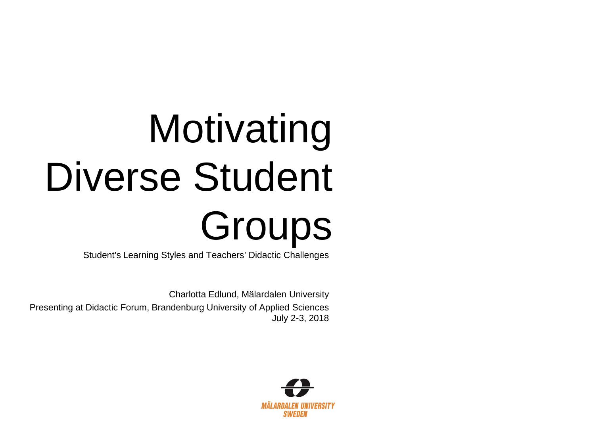# **Motivating** Diverse Student Groups

Student's Learning Styles and Teachers' Didactic Challenges

Charlotta Edlund, Mälardalen University Presenting at Didactic Forum, Brandenburg University of Applied Sciences July 2-3, 2018

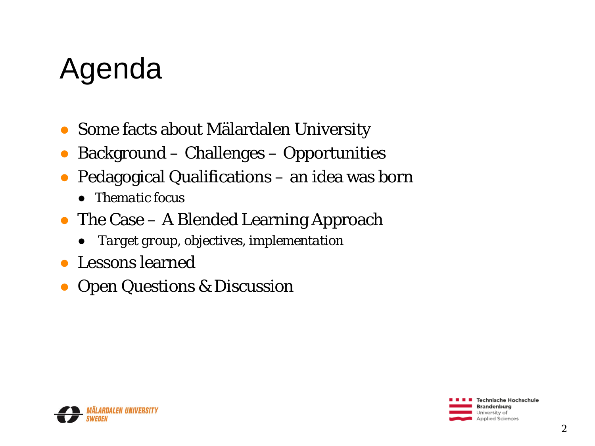# Agenda

- Some facts about Mälardalen University
- Background Challenges Opportunities
- Pedagogical Qualifications an idea was born
	- *Thematic focus*
- The Case A Blended Learning Approach
	- *Target group, objectives, implementation*
- Lessons learned
- Open Questions & Discussion

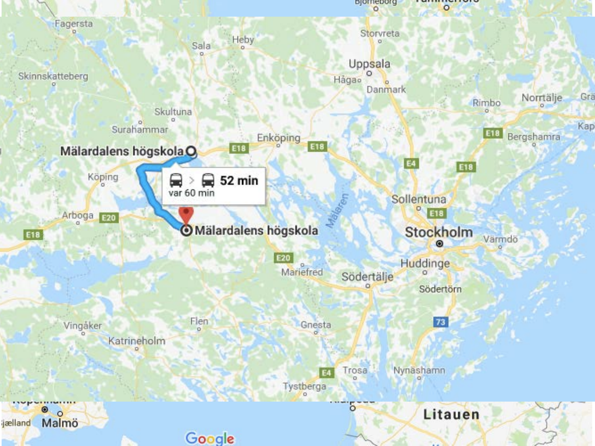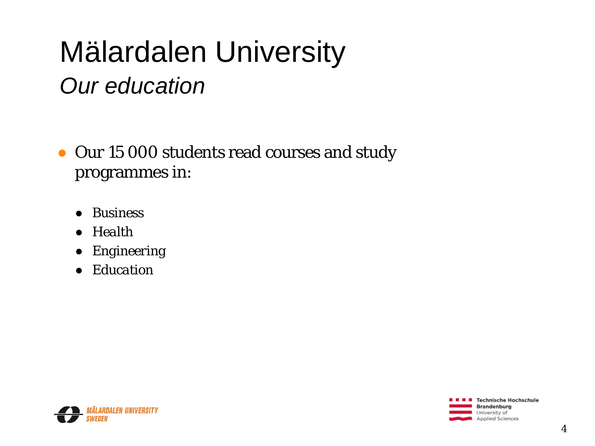# Mälardalen University

#### *Our education*

- Our 15 000 students read courses and study programmes in:
	- *Business*
	- *Health*
	- *Engineering*
	- *Education*



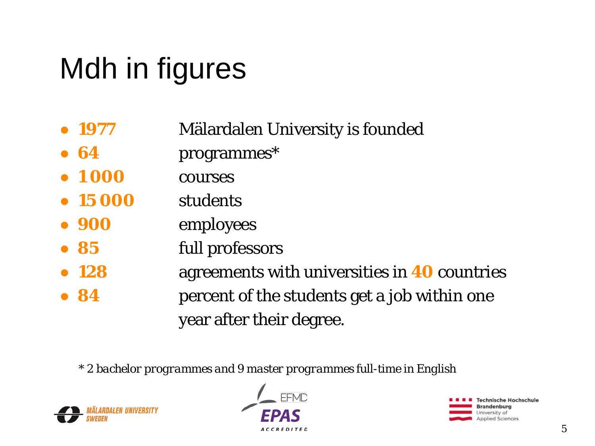# Mdh in figures

- **1977** Mälardalen University is founded
- **64** programmes\*
- **1 000** courses
- **15 000** students
- **900** employees
- **85** full professors
- **128** agreements with universities in **40** countries
- 84 **bestudents** get a job within one year after their degree.

*\* 2 bachelor programmes and 9 master programmes full-time in English*





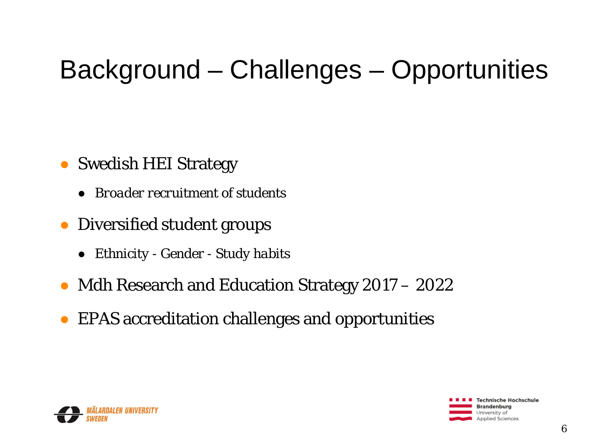### Background – Challenges – Opportunities

#### • Swedish HEI Strategy

- *Broader recruitment of students*
- Diversified student groups
	- *Ethnicity - Gender - Study habits*
- Mdh Research and Education Strategy 2017 2022
- EPAS accreditation challenges and opportunities

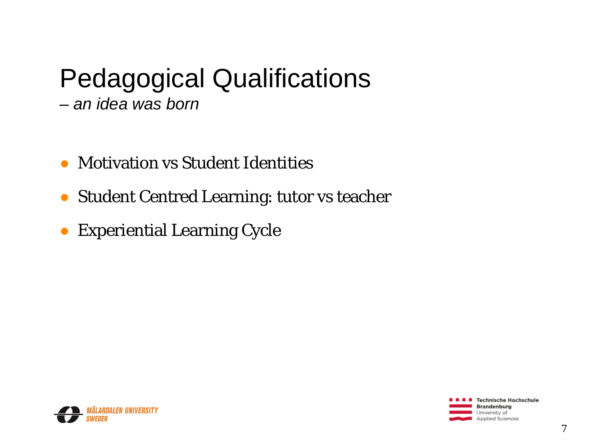### Pedagogical Qualifications

- *– an idea was born*
- Motivation vs Student Identities
- Student Centred Learning: tutor vs teacher
- Experiential Learning Cycle

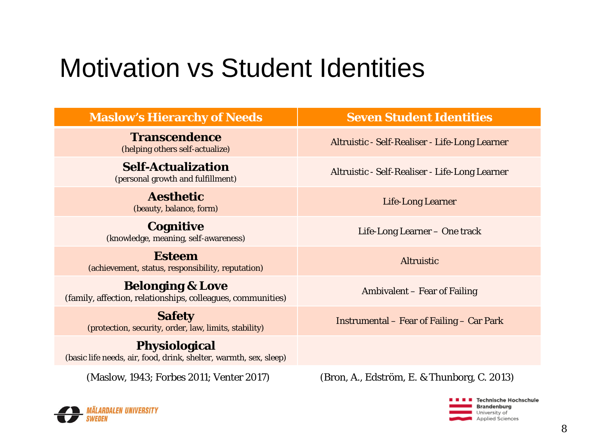#### Motivation vs Student Identities

| <b>Maslow's Hierarchy of Needs</b>                                                         | <b>Seven Student Identities</b>                  |
|--------------------------------------------------------------------------------------------|--------------------------------------------------|
| <b>Transcendence</b><br>(helping others self-actualize)                                    | Altruistic - Self-Realiser - Life-Long Learner   |
| <b>Self-Actualization</b><br>(personal growth and fulfillment)                             | Altruistic - Self-Realiser - Life-Long Learner   |
| <b>Aesthetic</b><br>(beauty, balance, form)                                                | <b>Life-Long Learner</b>                         |
| <b>Cognitive</b><br>(knowledge, meaning, self-awareness)                                   | Life-Long Learner - One track                    |
| <b>Esteem</b><br>(achievement, status, responsibility, reputation)                         | <b>Altruistic</b>                                |
| <b>Belonging &amp; Love</b><br>(family, affection, relationships, colleagues, communities) | Ambivalent - Fear of Failing                     |
| <b>Safety</b><br>(protection, security, order, law, limits, stability)                     | <b>Instrumental – Fear of Failing – Car Park</b> |
| <b>Physiological</b><br>(basic life needs, air, food, drink, shelter, warmth, sex, sleep)  |                                                  |
| (Maslow, 1943; Forbes 2011; Venter 2017)                                                   | (Bron, A., Edström, E. & Thunborg, C. 2013)      |



SWEDEN

Technische Hochschule **Brandenburg** 

University of Applied Sciences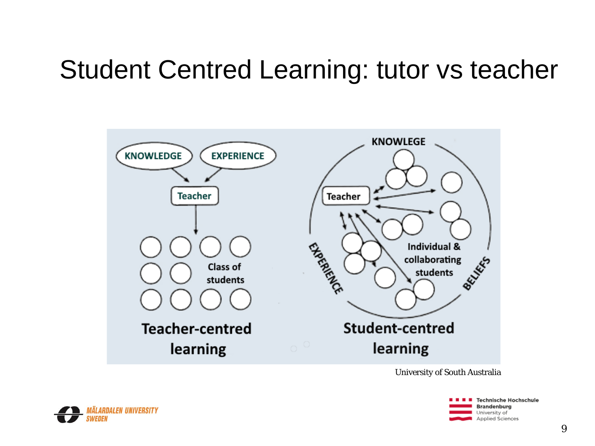#### Student Centred Learning: tutor vs teacher



University of South Australia



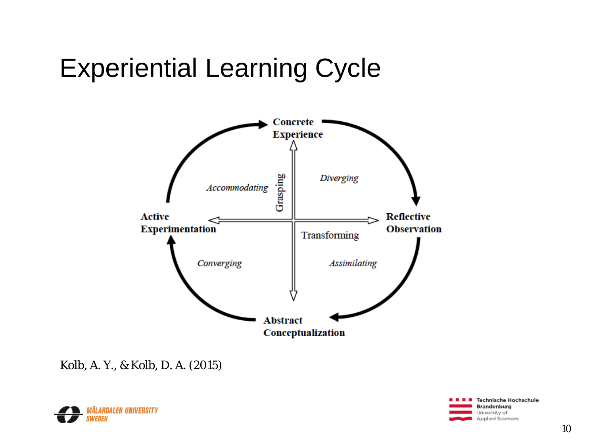#### Experiential Learning Cycle



Kolb, A. Y., & Kolb, D. A. (2015)



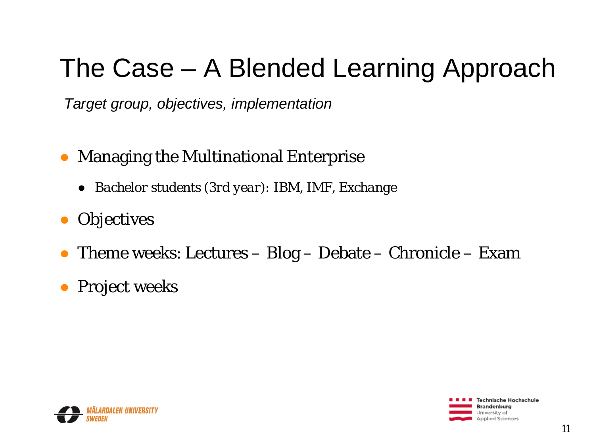#### The Case – A Blended Learning Approach

*Target group, objectives, implementation*

- Managing the Multinational Enterprise
	- *[Bachelor stu](#page-11-0)dents (3rd year): IBM, IMF, Exchange*
- Objectives
- Theme weeks: Lectures Blog Debate Chronicle Exam
- Project weeks

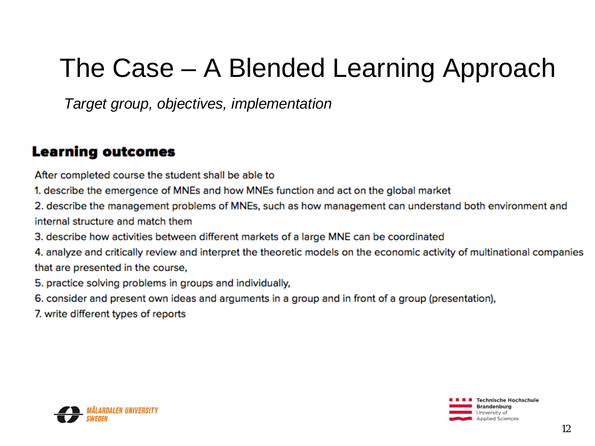#### <span id="page-11-0"></span>The Case – A Blended Learning Approach

*Target group, objectives, implementation*

#### **Learning outcomes**

After completed course the student shall be able to

- 1. describe the emergence of MNEs and how MNEs function and act on the global market
- 2. describe the management problems of MNEs, such as how management can understand both environment and internal structure and match them
- 3. describe how activities between different markets of a large MNE can be coordinated
- 4. analyze and critically review and interpret the theoretic models on the economic activity of multinational companies that are presented in the course,
- 5. practice solving problems in groups and individually,
- 6. consider and present own ideas and arguments in a group and in front of a group (presentation),
- 7. write different types of reports



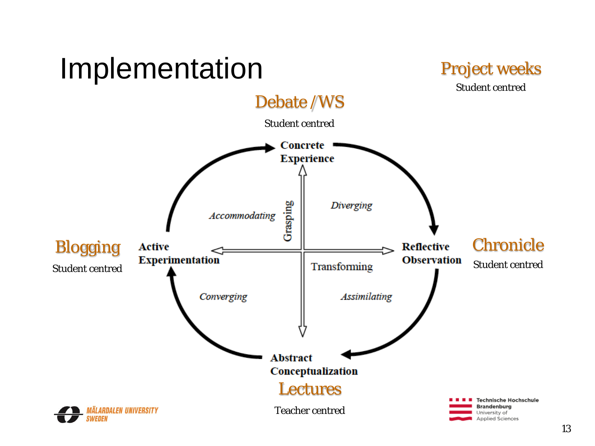# <span id="page-12-0"></span>Implementation





**Applied Sciences**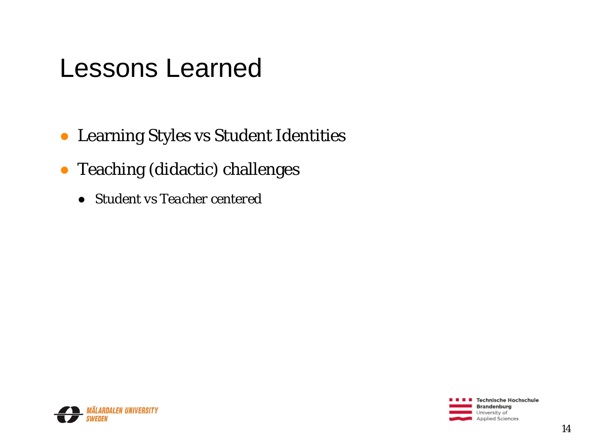#### Lessons Learned

- Learning Styles vs Student Identities
- Teaching (didactic) challenges
	- *Student vs Teacher centered*



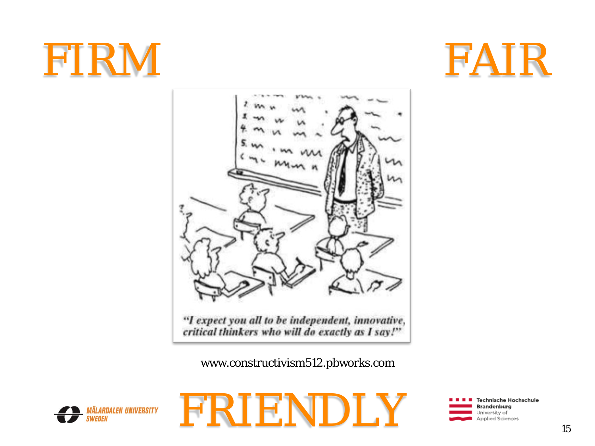# FIRM FAIR





www.constructivism512.pbworks.com





**Technische Hochschule Brandenburg** University of **Applied Sciences**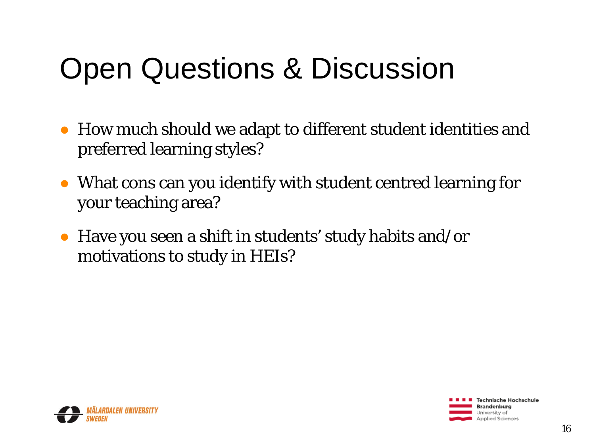# Open Questions & Discussion

- How much should we adapt to different student identities and preferred learning styles?
- What cons can you identify with student centred learning for your teaching area?
- Have you seen a shift in students' study habits and/or motivations to study in HEIs?